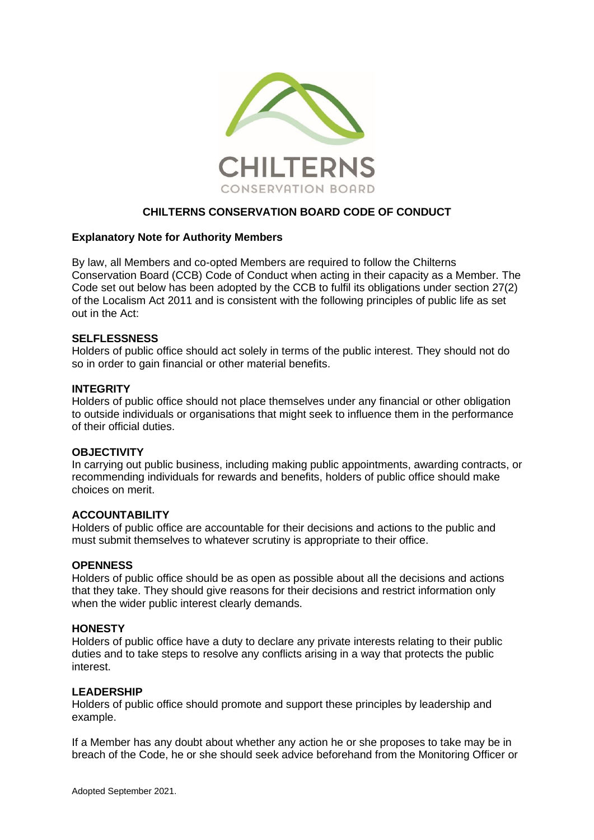

# **CHILTERNS CONSERVATION BOARD CODE OF CONDUCT**

### **Explanatory Note for Authority Members**

By law, all Members and co-opted Members are required to follow the Chilterns Conservation Board (CCB) Code of Conduct when acting in their capacity as a Member. The Code set out below has been adopted by the CCB to fulfil its obligations under section 27(2) of the Localism Act 2011 and is consistent with the following principles of public life as set out in the Act:

#### **SELFLESSNESS**

Holders of public office should act solely in terms of the public interest. They should not do so in order to gain financial or other material benefits.

### **INTEGRITY**

Holders of public office should not place themselves under any financial or other obligation to outside individuals or organisations that might seek to influence them in the performance of their official duties.

#### **OBJECTIVITY**

In carrying out public business, including making public appointments, awarding contracts, or recommending individuals for rewards and benefits, holders of public office should make choices on merit.

#### **ACCOUNTABILITY**

Holders of public office are accountable for their decisions and actions to the public and must submit themselves to whatever scrutiny is appropriate to their office.

### **OPENNESS**

Holders of public office should be as open as possible about all the decisions and actions that they take. They should give reasons for their decisions and restrict information only when the wider public interest clearly demands.

#### **HONESTY**

Holders of public office have a duty to declare any private interests relating to their public duties and to take steps to resolve any conflicts arising in a way that protects the public interest.

#### **LEADERSHIP**

Holders of public office should promote and support these principles by leadership and example.

If a Member has any doubt about whether any action he or she proposes to take may be in breach of the Code, he or she should seek advice beforehand from the Monitoring Officer or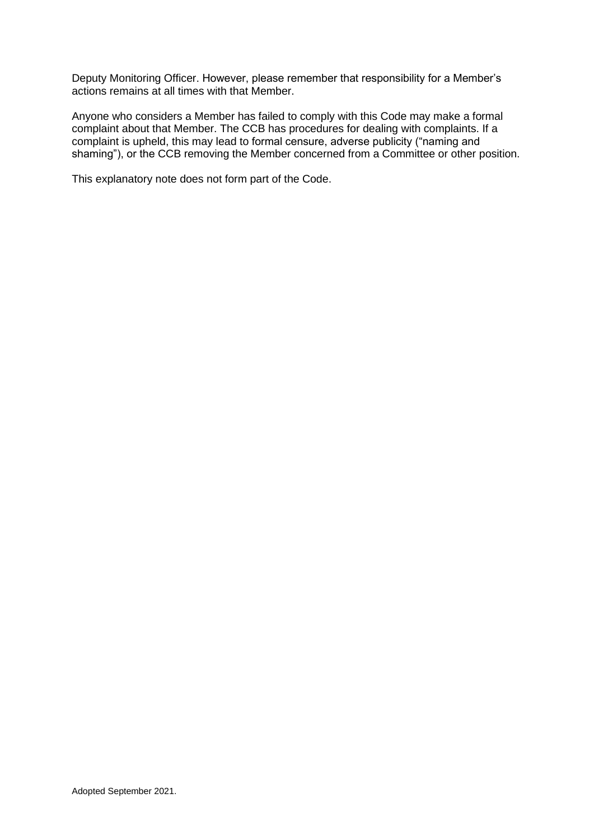Deputy Monitoring Officer. However, please remember that responsibility for a Member's actions remains at all times with that Member.

Anyone who considers a Member has failed to comply with this Code may make a formal complaint about that Member. The CCB has procedures for dealing with complaints. If a complaint is upheld, this may lead to formal censure, adverse publicity ("naming and shaming"), or the CCB removing the Member concerned from a Committee or other position.

This explanatory note does not form part of the Code.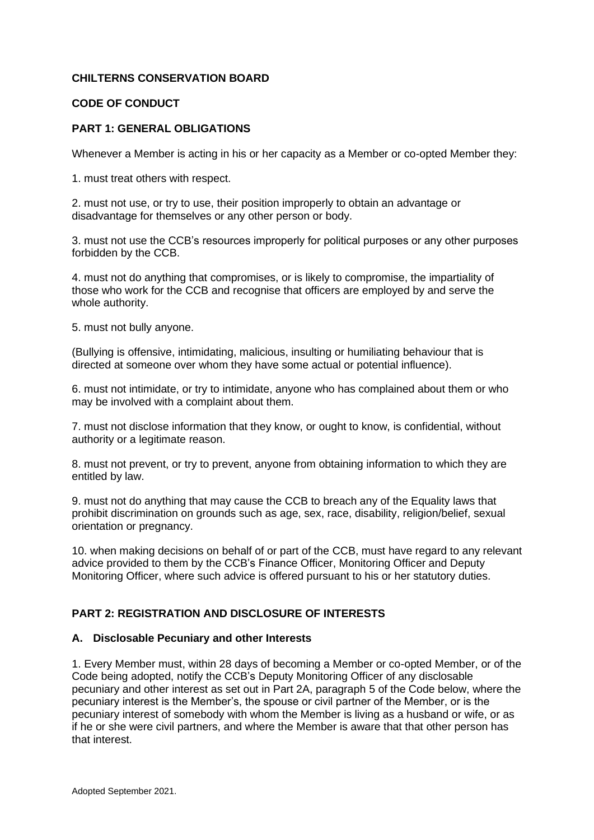## **CHILTERNS CONSERVATION BOARD**

## **CODE OF CONDUCT**

## **PART 1: GENERAL OBLIGATIONS**

Whenever a Member is acting in his or her capacity as a Member or co-opted Member they:

1. must treat others with respect.

2. must not use, or try to use, their position improperly to obtain an advantage or disadvantage for themselves or any other person or body.

3. must not use the CCB's resources improperly for political purposes or any other purposes forbidden by the CCB.

4. must not do anything that compromises, or is likely to compromise, the impartiality of those who work for the CCB and recognise that officers are employed by and serve the whole authority.

5. must not bully anyone.

(Bullying is offensive, intimidating, malicious, insulting or humiliating behaviour that is directed at someone over whom they have some actual or potential influence).

6. must not intimidate, or try to intimidate, anyone who has complained about them or who may be involved with a complaint about them.

7. must not disclose information that they know, or ought to know, is confidential, without authority or a legitimate reason.

8. must not prevent, or try to prevent, anyone from obtaining information to which they are entitled by law.

9. must not do anything that may cause the CCB to breach any of the Equality laws that prohibit discrimination on grounds such as age, sex, race, disability, religion/belief, sexual orientation or pregnancy.

10. when making decisions on behalf of or part of the CCB, must have regard to any relevant advice provided to them by the CCB's Finance Officer, Monitoring Officer and Deputy Monitoring Officer, where such advice is offered pursuant to his or her statutory duties.

## **PART 2: REGISTRATION AND DISCLOSURE OF INTERESTS**

#### **A. Disclosable Pecuniary and other Interests**

1. Every Member must, within 28 days of becoming a Member or co-opted Member, or of the Code being adopted, notify the CCB's Deputy Monitoring Officer of any disclosable pecuniary and other interest as set out in Part 2A, paragraph 5 of the Code below, where the pecuniary interest is the Member's, the spouse or civil partner of the Member, or is the pecuniary interest of somebody with whom the Member is living as a husband or wife, or as if he or she were civil partners, and where the Member is aware that that other person has that interest.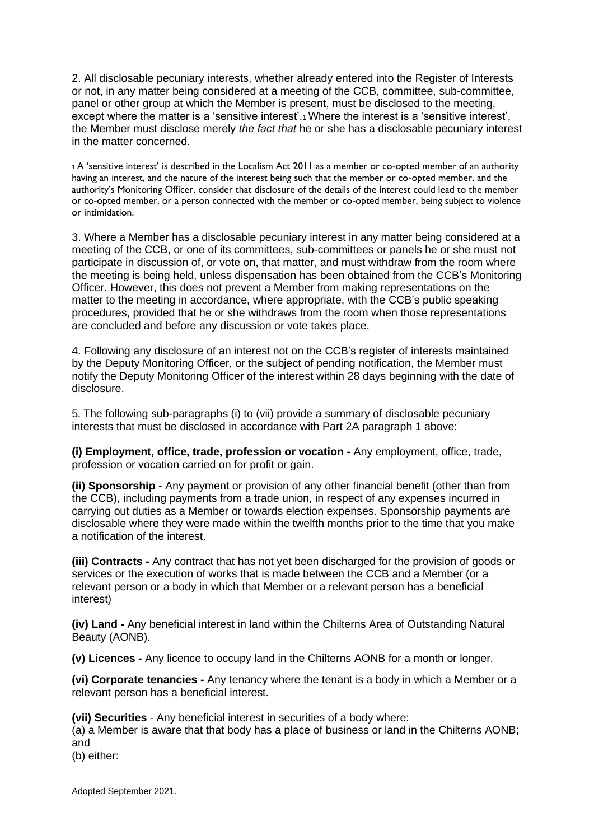2. All disclosable pecuniary interests, whether already entered into the Register of Interests or not, in any matter being considered at a meeting of the CCB, committee, sub-committee, panel or other group at which the Member is present, must be disclosed to the meeting, except where the matter is a 'sensitive interest'.1 Where the interest is a 'sensitive interest', the Member must disclose merely *the fact that* he or she has a disclosable pecuniary interest in the matter concerned.

<sup>1</sup>A 'sensitive interest' is described in the Localism Act 2011 as a member or co-opted member of an authority having an interest, and the nature of the interest being such that the member or co-opted member, and the authority's Monitoring Officer, consider that disclosure of the details of the interest could lead to the member or co-opted member, or a person connected with the member or co-opted member, being subject to violence or intimidation.

3. Where a Member has a disclosable pecuniary interest in any matter being considered at a meeting of the CCB, or one of its committees, sub-committees or panels he or she must not participate in discussion of, or vote on, that matter, and must withdraw from the room where the meeting is being held, unless dispensation has been obtained from the CCB's Monitoring Officer. However, this does not prevent a Member from making representations on the matter to the meeting in accordance, where appropriate, with the CCB's public speaking procedures, provided that he or she withdraws from the room when those representations are concluded and before any discussion or vote takes place.

4. Following any disclosure of an interest not on the CCB's register of interests maintained by the Deputy Monitoring Officer, or the subject of pending notification, the Member must notify the Deputy Monitoring Officer of the interest within 28 days beginning with the date of disclosure.

5. The following sub-paragraphs (i) to (vii) provide a summary of disclosable pecuniary interests that must be disclosed in accordance with Part 2A paragraph 1 above:

**(i) Employment, office, trade, profession or vocation -** Any employment, office, trade, profession or vocation carried on for profit or gain.

**(ii) Sponsorship** - Any payment or provision of any other financial benefit (other than from the CCB), including payments from a trade union, in respect of any expenses incurred in carrying out duties as a Member or towards election expenses. Sponsorship payments are disclosable where they were made within the twelfth months prior to the time that you make a notification of the interest.

**(iii) Contracts -** Any contract that has not yet been discharged for the provision of goods or services or the execution of works that is made between the CCB and a Member (or a relevant person or a body in which that Member or a relevant person has a beneficial interest)

**(iv) Land -** Any beneficial interest in land within the Chilterns Area of Outstanding Natural Beauty (AONB).

**(v) Licences -** Any licence to occupy land in the Chilterns AONB for a month or longer.

**(vi) Corporate tenancies -** Any tenancy where the tenant is a body in which a Member or a relevant person has a beneficial interest.

**(vii) Securities** - Any beneficial interest in securities of a body where:

(a) a Member is aware that that body has a place of business or land in the Chilterns AONB; and

(b) either: